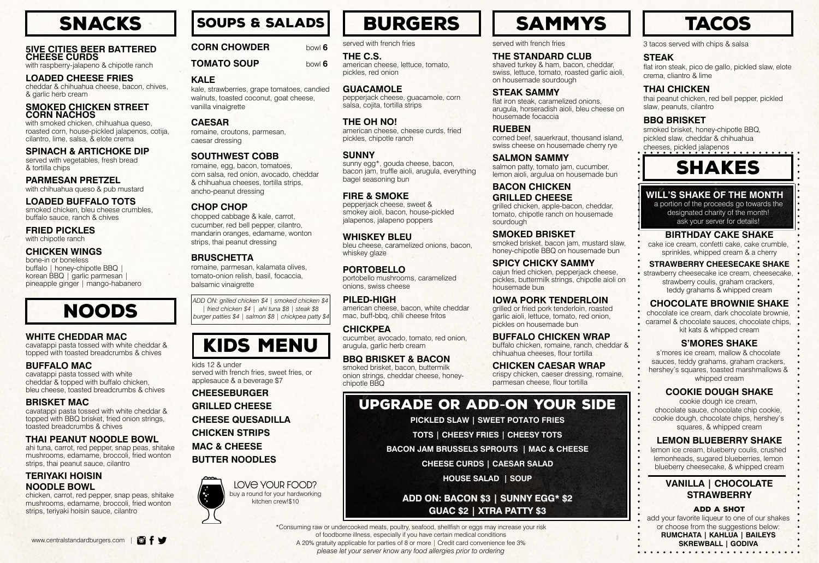#### **5IVE CITIES BEER BATTERED CHEESE CURDS**

with raspberry-jalapeno & chipotle ranch

#### **LOADED CHEESE FRIES**

cheddar & chihuahua cheese, bacon, chives, & garlic herb cream

#### **SMOKED CHICKEN STREET CORN NACHOS**

with smoked chicken, chihuahua queso, roasted corn, house-pickled jalapenos, cotija, cilantro, lime, salsa, & elote crema

**SPINACH & ARTICHOKE DIP**  served with vegetables, fresh bread & tortilla chips

**PARMESAN PRETZEL** with chihuahua queso & pub mustard

**LOADED BUFFALO TOTS** smoked chicken, bleu cheese crumbles, buffalo sauce, ranch & chives

**FRIED PICKLES** with chipotle ranch

#### **CHICKEN WINGS**

bone-in or boneless buffalo | honey-chipotle BBQ | korean BBQ | garlic parmesan | pineapple ginger | mango-habanero

**WHITE CHEDDAR MAC**

cavatappi pasta tossed with white cheddar & topped with toasted breadcrumbs & chives

smoked brisket, honey-chipotle BBQ, pickled slaw, cheddar & chihuahua cheeses, pickled jalapenos

# **SHAKES**

**BUFFALO MAC**

cavatappi pasta tossed with white cheddar & topped with buffalo chicken, bleu cheese, toasted breadcrumbs & chives

**BRISKET MAC**

cavatappi pasta tossed with white cheddar & topped with BBQ brisket, fried onion strings,

toasted breadcrumbs & chives

**THAI PEANUT NOODLE BOWL** ahi tuna, carrot, red pepper, snap peas, shitake mushrooms, edamame, broccoli, fried wonton

strips, thai peanut sauce, cilantro

**TERIYAKI HOISIN NOODLE BOWL**

chicken, carrot, red pepper, snap peas, shitake mushrooms, edamame, broccoli, fried wonton

strips, teriyaki hoisin sauce, cilantro

3 tacos served with chips & salsa

#### **STEAK**

flat iron steak, pico de gallo, pickled slaw, elote crema, cliantro & lime

#### **THAI CHICKEN**

thai peanut chicken, red bell pepper, pickled slaw, peanuts, cilantro

#### **BBQ BRISKET**

Www.centralstandardburgers.com | **O | SKREWBALL** | GODIVA \*Consuming raw or undercooked meats, poultry, seafood, shellfish or eggs may increase your risk of foodborne illness, especially if you have certain medical conditions *please let your server know any food allergies prior to ordering*

BURGERS | SAMMYS

#### **WILL'S SHAKE OF THE MONTH**

a portion of the proceeds go towards the designated charity of the month! ask your server for details!

#### **BIRTHDAY CAKE SHAKE**

cake ice cream, confetti cake, cake crumble, sprinkles, whipped cream & a cherry

#### **STRAWBERRY CHEESECAKE SHAKE**

strawberry cheesecake ice cream, cheesecake, strawberry coulis, graham crackers, teddy grahams & whipped cream

#### **CHOCOLATE BROWNIE SHAKE**

chocolate ice cream, dark chocolate brownie, caramel & chocolate sauces, chocolate chips, kit kats & whipped cream

#### **S'MORES SHAKE**

s'mores ice cream, mallow & chocolate sauces, teddy grahams, graham crackers, hershey's squares, toasted marshmallows & whipped cream

#### **COOKIE DOUGH SHAKE**

cookie dough ice cream, chocolate sauce, chocolate chip cookie, cookie dough, chocolate chips, hershey's squares, & whipped cream

#### **LEMON BLUEBERRY SHAKE**

lemon ice cream, blueberry coulis, crushed lemonheads, sugared blueberries, lemon blueberry cheesecake, & whipped cream

#### **VANILLA | CHOCOLATE STRAWBERRY**

#### Add a Shot

add your favorite liqueur to one of our shakes or choose from the suggestions below:

**RUMCHATA | KAHLUA | BAILEYS** 



noods

# kids menu

Soups & salads



## **TACOS**

served with french fries

#### **THE C.S.**

american cheese, lettuce, tomato, pickles, red onion

#### **GUACAMOLE**

pepperjack cheese, guacamole, corn salsa, cojita, tortilla strips

#### **THE OH NO!**

american cheese, cheese curds, fried pickles, chipotle ranch

#### **SUNNY**

sunny egg\*, gouda cheese, bacon, bacon jam, truffle aioli, arugula, everything bagel seasoning bun

#### **FIRE & SMOKE**

pepperjack cheese, sweet & smokey aioli, bacon, house-pickled jalapenos, jalapeno poppers

#### **WHISKEY BLEU**

bleu cheese, caramelized onions, bacon, whiskey glaze

#### **PORTOBELLO**

portobello mushrooms, caramelized onions, swiss cheese

#### **PILED-HIGH**

american cheese, bacon, white cheddar mac, buff-bbq, chili cheese fritos

#### **CHICKPEA**

cucumber, avocado, tomato, red onion, arugula, garlic herb cream

#### **BBQ BRISKET & BACON**

smoked brisket, bacon, buttermilk onion strings, cheddar cheese, honeychipotle BBQ

served with french fries

#### **THE STANDARD CLUB**

shaved turkey & ham, bacon, cheddar, swiss, lettuce, tomato, roasted garlic aioli, on housemade sourdough

#### **STEAK SAMMY**

flat iron steak, caramelized onions, arugula, horseradish aioli, bleu cheese on housemade focaccia

#### **RUEBEN**

corned beef, sauerkraut, thousand island, swiss cheese on housemade cherry rye

#### **SALMON SAMMY**

salmon patty, tomato jam, cucumber, lemon aioli, argulua on housemade bun

#### **BACON CHICKEN GRILLED CHEESE**

grilled chicken, apple-bacon, cheddar, tomato, chipotle ranch on housemade sourdough

#### **SMOKED BRISKET**

smoked brisket, bacon jam, mustard slaw, honey-chipotle BBQ on housemade bun

#### **SPICY CHICKY SAMMY**

cajun fried chicken, pepperjack cheese, pickles, buttermilk strings, chipotle aioli on housemade bun

#### **IOWA PORK TENDERLOIN**

grilled or fried pork tenderloin, roasted garlic aioli, lettuce, tomato, red onion, pickles on housemade bun

#### **BUFFALO CHICKEN WRAP**

buffalo chicken, romaine, ranch, cheddar & chihuahua cheeses, flour tortilla



## **CHICKEN CAESAR WRAP**

crispy chicken, caeser dressing, romaine, parmesan cheese, flour tortilla

### upgrade or add**-**on your side

**PICKLED SLAW | SWEET POTATO FRIES** 

**TOTS | CHEESY FRIES | CHEESY TOTS** 

**BACON JAM BRUSSELS SPROUTS | MAC & CHEESE** 

**CHEESE CURDS | CAESAR SALAD** 

**HOUSE SALAD | SOUP** 

#### **ADD ON: BACON \$3 | SUNNY EGG\* \$2 GUAC \$2 | XTRA PATTY \$3**

kids 12 & under served with french fries, sweet fries, or applesauce & a beverage \$7

**CHEESEBURGER**

**GRILLED CHEESE**

**CHEESE QUESADILLA**

**CHICKEN STRIPS**

**MAC & CHEESE**

**BUTTER NOODLES**





bowl **6**

bowl **6**

## **CORN CHOWDER**

**TOMATO SOUP** 

#### **KALE**

kale, strawberries, grape tomatoes, candied walnuts, toasted coconut, goat cheese, vanilla vinaigrette

#### **CAESAR**

romaine, croutons, parmesan, caesar dressing

#### **SOUTHWEST COBB**

romaine, egg, bacon, tomatoes, corn salsa, red onion, avocado, cheddar & chihuahua cheeses, tortilla strips, ancho-peanut dressing

#### **CHOP CHOP**

chopped cabbage & kale, carrot, cucumber, red bell pepper, cilantro, mandarin oranges, edamame, wonton strips, thai peanut dressing

#### **BRUSCHETTA**

romaine, parmesan, kalamata olives, tomato-onion relish, basil, focaccia, balsamic vinaigrette

*ADD ON: grilled chicken \$4 | smoked chicken \$4 | fried chicken \$4 | ahi tuna \$8 | steak \$8 burger patties \$4 | salmon \$8 | chickpea patty \$4*